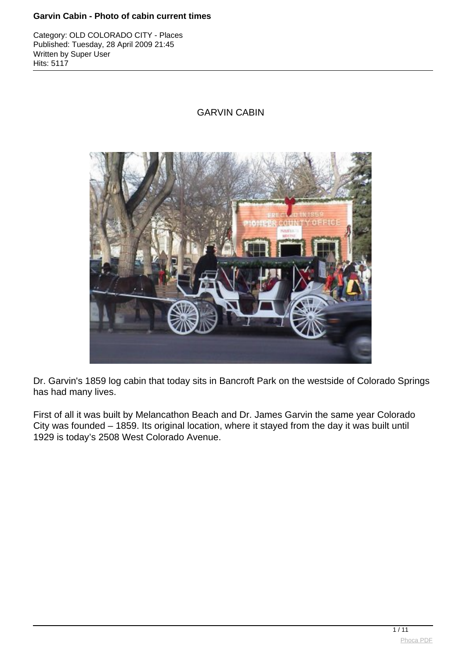Category: OLD COLORADO CITY - Places Published: Tuesday, 28 April 2009 21:45 Written by Super User Hits: 5117

# GARVIN CABIN



Dr. Garvin's 1859 log cabin that today sits in Bancroft Park on the westside of Colorado Springs has had many lives.

First of all it was built by Melancathon Beach and Dr. James Garvin the same year Colorado City was founded – 1859. Its original location, where it stayed from the day it was built until 1929 is today's 2508 West Colorado Avenue.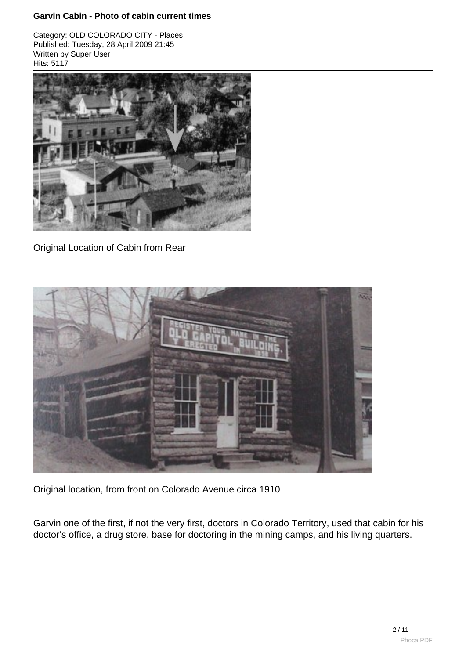Category: OLD COLORADO CITY - Places Published: Tuesday, 28 April 2009 21:45 Written by Super User Hits: 5117



Original Location of Cabin from Rear



Original location, from front on Colorado Avenue circa 1910

Garvin one of the first, if not the very first, doctors in Colorado Territory, used that cabin for his doctor's office, a drug store, base for doctoring in the mining camps, and his living quarters.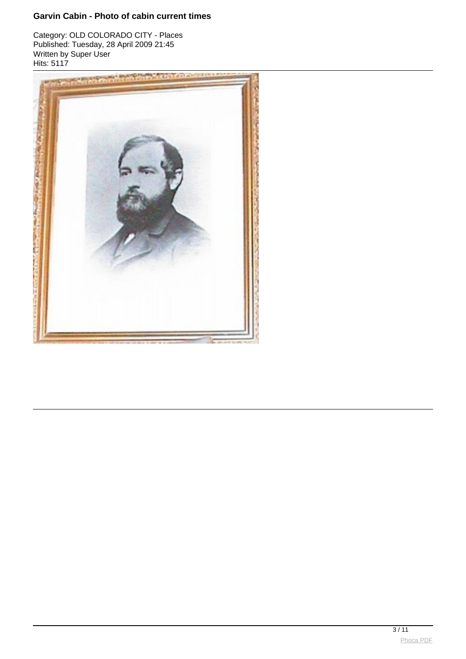Category: OLD COLORADO CITY - Places Published: Tuesday, 28 April 2009 21:45 Written by Super User Hits: 5117

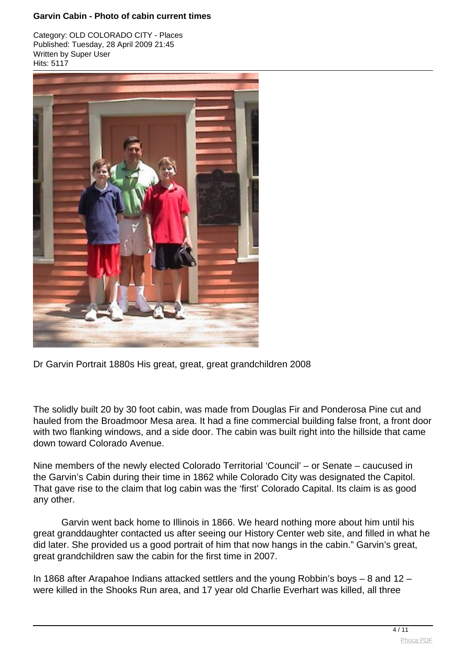Category: OLD COLORADO CITY - Places Published: Tuesday, 28 April 2009 21:45 Written by Super User Hits: 5117



Dr Garvin Portrait 1880s His great, great, great grandchildren 2008

The solidly built 20 by 30 foot cabin, was made from Douglas Fir and Ponderosa Pine cut and hauled from the Broadmoor Mesa area. It had a fine commercial building false front, a front door with two flanking windows, and a side door. The cabin was built right into the hillside that came down toward Colorado Avenue.

Nine members of the newly elected Colorado Territorial 'Council' – or Senate – caucused in the Garvin's Cabin during their time in 1862 while Colorado City was designated the Capitol. That gave rise to the claim that log cabin was the 'first' Colorado Capital. Its claim is as good any other.

Garvin went back home to Illinois in 1866. We heard nothing more about him until his great granddaughter contacted us after seeing our History Center web site, and filled in what he did later. She provided us a good portrait of him that now hangs in the cabin." Garvin's great, great grandchildren saw the cabin for the first time in 2007.

In 1868 after Arapahoe Indians attacked settlers and the young Robbin's boys – 8 and 12 – were killed in the Shooks Run area, and 17 year old Charlie Everhart was killed, all three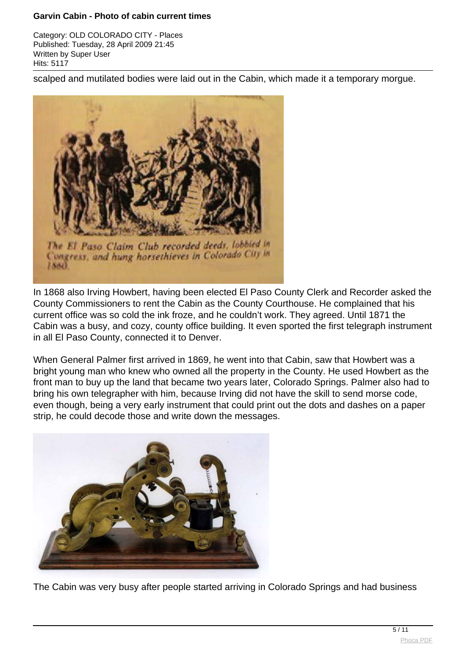Category: OLD COLORADO CITY - Places Published: Tuesday, 28 April 2009 21:45 Written by Super User Hits: 5117

scalped and mutilated bodies were laid out in the Cabin, which made it a temporary morgue.



In 1868 also Irving Howbert, having been elected El Paso County Clerk and Recorder asked the County Commissioners to rent the Cabin as the County Courthouse. He complained that his current office was so cold the ink froze, and he couldn't work. They agreed. Until 1871 the Cabin was a busy, and cozy, county office building. It even sported the first telegraph instrument in all El Paso County, connected it to Denver.

When General Palmer first arrived in 1869, he went into that Cabin, saw that Howbert was a bright young man who knew who owned all the property in the County. He used Howbert as the front man to buy up the land that became two years later, Colorado Springs. Palmer also had to bring his own telegrapher with him, because Irving did not have the skill to send morse code, even though, being a very early instrument that could print out the dots and dashes on a paper strip, he could decode those and write down the messages.



The Cabin was very busy after people started arriving in Colorado Springs and had business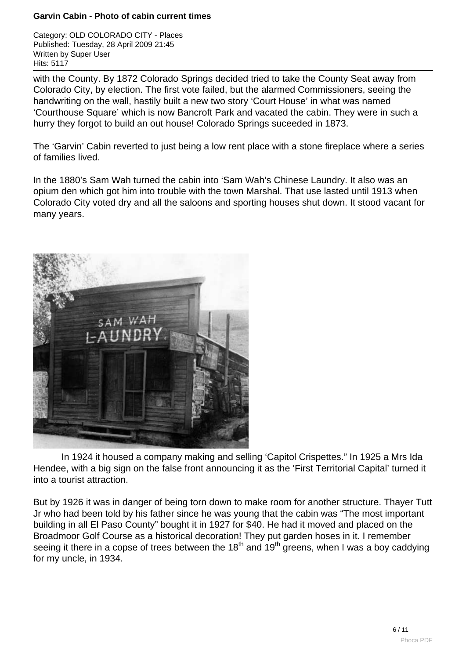Category: OLD COLORADO CITY - Places Published: Tuesday, 28 April 2009 21:45 Written by Super User Hits: 5117

with the County. By 1872 Colorado Springs decided tried to take the County Seat away from Colorado City, by election. The first vote failed, but the alarmed Commissioners, seeing the handwriting on the wall, hastily built a new two story 'Court House' in what was named 'Courthouse Square' which is now Bancroft Park and vacated the cabin. They were in such a hurry they forgot to build an out house! Colorado Springs suceeded in 1873.

The 'Garvin' Cabin reverted to just being a low rent place with a stone fireplace where a series of families lived.

In the 1880's Sam Wah turned the cabin into 'Sam Wah's Chinese Laundry. It also was an opium den which got him into trouble with the town Marshal. That use lasted until 1913 when Colorado City voted dry and all the saloons and sporting houses shut down. It stood vacant for many years.



In 1924 it housed a company making and selling 'Capitol Crispettes." In 1925 a Mrs Ida Hendee, with a big sign on the false front announcing it as the 'First Territorial Capital' turned it into a tourist attraction.

But by 1926 it was in danger of being torn down to make room for another structure. Thayer Tutt Jr who had been told by his father since he was young that the cabin was "The most important building in all El Paso County" bought it in 1927 for \$40. He had it moved and placed on the Broadmoor Golf Course as a historical decoration! They put garden hoses in it. I remember seeing it there in a copse of trees between the  $18<sup>th</sup>$  and  $19<sup>th</sup>$  greens, when I was a boy caddying for my uncle, in 1934.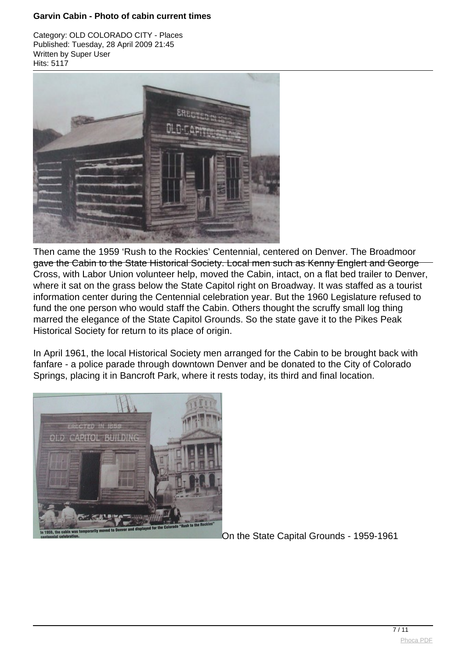Category: OLD COLORADO CITY - Places Published: Tuesday, 28 April 2009 21:45 Written by Super User Hits: 5117



Then came the 1959 'Rush to the Rockies' Centennial, centered on Denver. The Broadmoor gave the Cabin to the State Historical Society. Local men such as Kenny Englert and George Cross, with Labor Union volunteer help, moved the Cabin, intact, on a flat bed trailer to [Denver,](http://www.phoca.cz/phocapdf) where it sat on the grass below the State Capitol right on Broadway. It was staffed as a tourist information center during the Centennial celebration year. But the 1960 Legislature refused to fund the one person who would staff the Cabin. Others thought the scruffy small log thing marred the elegance of the State Capitol Grounds. So the state gave it to the Pikes Peak Historical Society for return to its place of origin.

In April 1961, the local Historical Society men arranged for the Cabin to be brought back with fanfare - a police parade through downtown Denver and be donated to the City of Colorado Springs, placing it in Bancroft Park, where it rests today, its third and final location.



On the State Capital Grounds - 1959-1961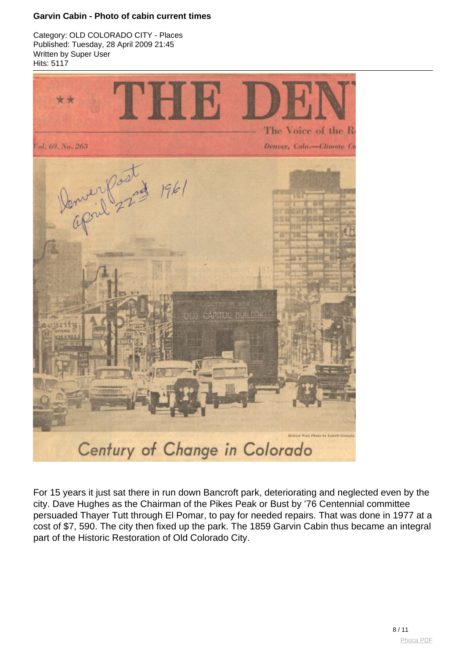Category: OLD COLORADO CITY - Places Published: Tuesday, 28 April 2009 21:45 Written by Super User Hits: 5117



For 15 years it just sat there in run down Bancroft park, deteriorating and neglected even by the city. Dave Hughes as the Chairman of the Pikes Peak or Bust by '76 Centennial committee persuaded Thayer Tutt through El Pomar, to pay for needed repairs. That was done in 1977 at a cost of \$7, 590. The city then fixed up the park. The 1859 Garvin Cabin thus became an integral part of the Historic Restoration of Old Colorado City.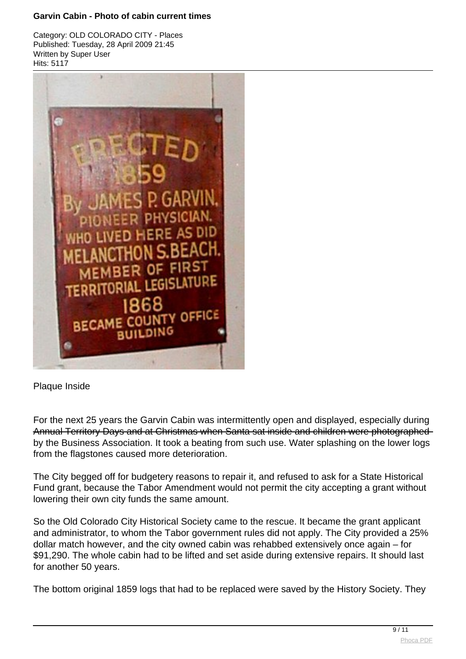Category: OLD COLORADO CITY - Places Published: Tuesday, 28 April 2009 21:45 Written by Super User Hits: 5117



Plaque Inside

For the next 25 years the Garvin Cabin was intermittently open and displayed, especially during Annual Territory Days and at Christmas when Santa sat inside and children were photographed by the Business Association. It took a beating from such use. Water splashing on the lo[wer logs](http://www.phoca.cz/phocapdf) from the flagstones caused more deterioration.

The City begged off for budgetery reasons to repair it, and refused to ask for a State Historical Fund grant, because the Tabor Amendment would not permit the city accepting a grant without lowering their own city funds the same amount.

So the Old Colorado City Historical Society came to the rescue. It became the grant applicant and administrator, to whom the Tabor government rules did not apply. The City provided a 25% dollar match however, and the city owned cabin was rehabbed extensively once again – for \$91,290. The whole cabin had to be lifted and set aside during extensive repairs. It should last for another 50 years.

The bottom original 1859 logs that had to be replaced were saved by the History Society. They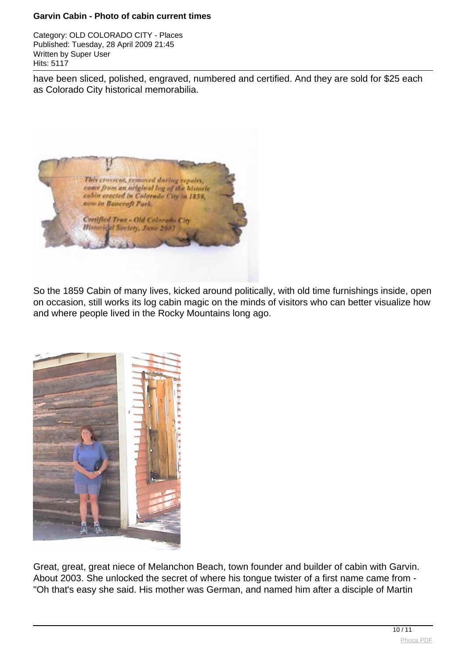Category: OLD COLORADO CITY - Places Published: Tuesday, 28 April 2009 21:45 Written by Super User Hits: 5117

have been sliced, polished, engraved, numbered and certified. And they are sold for \$25 each as Colorado City historical memorabilia.



So the 1859 Cabin of many lives, kicked around politically, with old time furnishings inside, open on occasion, still works its log cabin magic on the minds of visitors who can better visualize how and where people lived in the Rocky Mountains long ago.



Great, great, great niece of Melanchon Beach, town founder and builder of cabin with Garvin. About 2003. She unlocked the secret of where his tongue twister of a first name came from - "Oh that's easy she said. His mother was German, and named him after a disciple of Martin